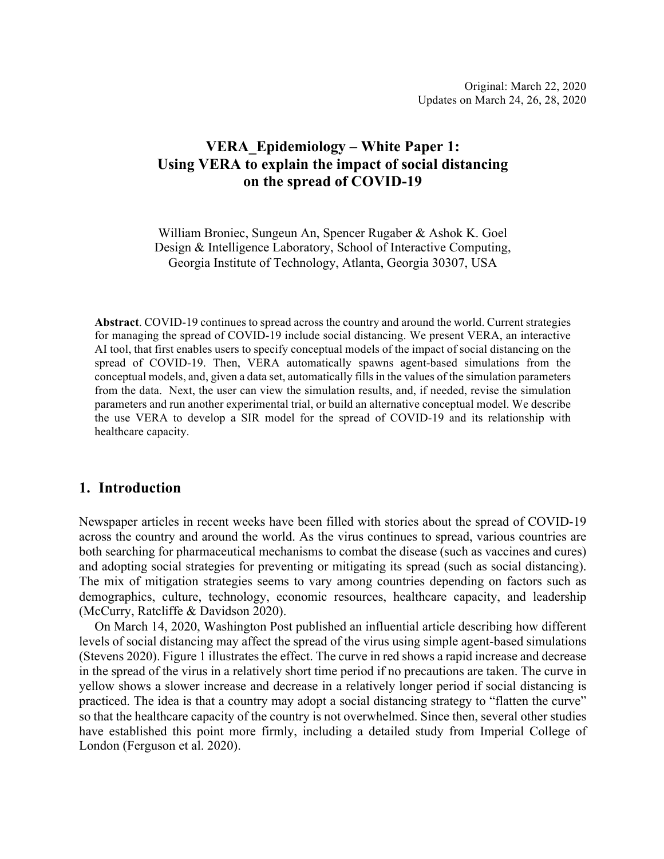## **VERA\_Epidemiology – White Paper 1: Using VERA to explain the impact of social distancing on the spread of COVID-19**

William Broniec, Sungeun An, Spencer Rugaber & Ashok K. Goel Design & Intelligence Laboratory, School of Interactive Computing, Georgia Institute of Technology, Atlanta, Georgia 30307, USA

**Abstract**. COVID-19 continues to spread across the country and around the world. Current strategies for managing the spread of COVID-19 include social distancing. We present VERA, an interactive AI tool, that first enables users to specify conceptual models of the impact of social distancing on the spread of COVID-19. Then, VERA automatically spawns agent-based simulations from the conceptual models, and, given a data set, automatically fills in the values of the simulation parameters from the data. Next, the user can view the simulation results, and, if needed, revise the simulation parameters and run another experimental trial, or build an alternative conceptual model. We describe the use VERA to develop a SIR model for the spread of COVID-19 and its relationship with healthcare capacity.

## **1. Introduction**

Newspaper articles in recent weeks have been filled with stories about the spread of COVID-19 across the country and around the world. As the virus continues to spread, various countries are both searching for pharmaceutical mechanisms to combat the disease (such as vaccines and cures) and adopting social strategies for preventing or mitigating its spread (such as social distancing). The mix of mitigation strategies seems to vary among countries depending on factors such as demographics, culture, technology, economic resources, healthcare capacity, and leadership (McCurry, Ratcliffe & Davidson 2020).

On March 14, 2020, Washington Post published an influential article describing how different levels of social distancing may affect the spread of the virus using simple agent-based simulations (Stevens 2020). Figure 1 illustrates the effect. The curve in red shows a rapid increase and decrease in the spread of the virus in a relatively short time period if no precautions are taken. The curve in yellow shows a slower increase and decrease in a relatively longer period if social distancing is practiced. The idea is that a country may adopt a social distancing strategy to "flatten the curve" so that the healthcare capacity of the country is not overwhelmed. Since then, several other studies have established this point more firmly, including a detailed study from Imperial College of London (Ferguson et al. 2020).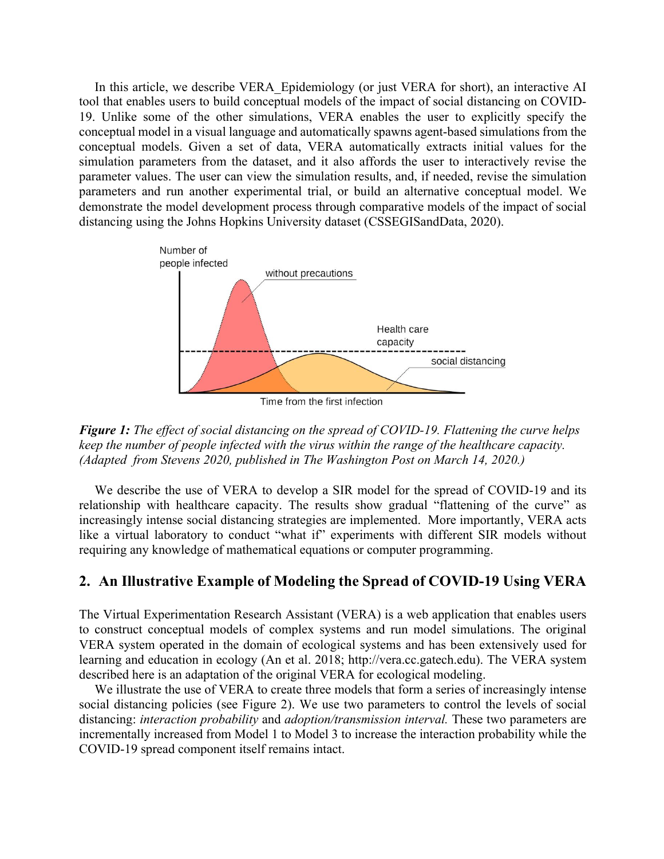In this article, we describe VERA\_Epidemiology (or just VERA for short), an interactive AI tool that enables users to build conceptual models of the impact of social distancing on COVID-19. Unlike some of the other simulations, VERA enables the user to explicitly specify the conceptual model in a visual language and automatically spawns agent-based simulations from the conceptual models. Given a set of data, VERA automatically extracts initial values for the simulation parameters from the dataset, and it also affords the user to interactively revise the parameter values. The user can view the simulation results, and, if needed, revise the simulation parameters and run another experimental trial, or build an alternative conceptual model. We demonstrate the model development process through comparative models of the impact of social distancing using the Johns Hopkins University dataset (CSSEGISandData, 2020).



Time from the first infection

*Figure 1: The effect of social distancing on the spread of COVID-19. Flattening the curve helps keep the number of people infected with the virus within the range of the healthcare capacity. (Adapted from Stevens 2020, published in The Washington Post on March 14, 2020.)*

We describe the use of VERA to develop a SIR model for the spread of COVID-19 and its relationship with healthcare capacity. The results show gradual "flattening of the curve" as increasingly intense social distancing strategies are implemented. More importantly, VERA acts like a virtual laboratory to conduct "what if" experiments with different SIR models without requiring any knowledge of mathematical equations or computer programming.

## **2. An Illustrative Example of Modeling the Spread of COVID-19 Using VERA**

The Virtual Experimentation Research Assistant (VERA) is a web application that enables users to construct conceptual models of complex systems and run model simulations. The original VERA system operated in the domain of ecological systems and has been extensively used for learning and education in ecology (An et al. 2018; http://vera.cc.gatech.edu). The VERA system described here is an adaptation of the original VERA for ecological modeling.

We illustrate the use of VERA to create three models that form a series of increasingly intense social distancing policies (see Figure 2). We use two parameters to control the levels of social distancing: *interaction probability* and *adoption/transmission interval.* These two parameters are incrementally increased from Model 1 to Model 3 to increase the interaction probability while the COVID-19 spread component itself remains intact.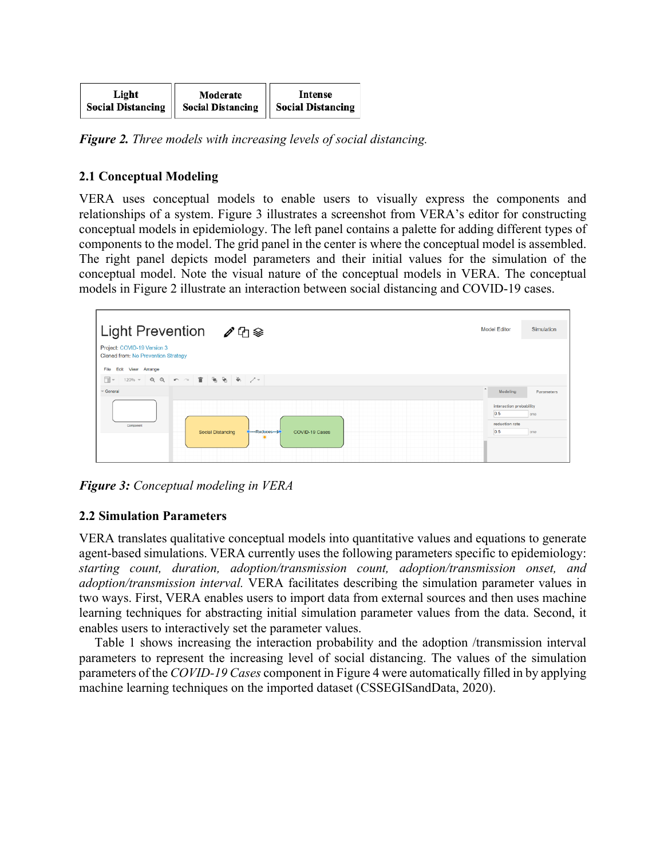| Light                    | Moderate                 | <b>Intense</b>           |
|--------------------------|--------------------------|--------------------------|
| <b>Social Distancing</b> | <b>Social Distancing</b> | <b>Social Distancing</b> |

*Figure 2. Three models with increasing levels of social distancing.*

## **2.1 Conceptual Modeling**

VERA uses conceptual models to enable users to visually express the components and relationships of a system. Figure 3 illustrates a screenshot from VERA's editor for constructing conceptual models in epidemiology. The left panel contains a palette for adding different types of components to the model. The grid panel in the center is where the conceptual model is assembled. The right panel depicts model parameters and their initial values for the simulation of the conceptual model. Note the visual nature of the conceptual models in VERA. The conceptual models in Figure 2 illustrate an interaction between social distancing and COVID-19 cases.



*Figure 3: Conceptual modeling in VERA*

## **2.2 Simulation Parameters**

VERA translates qualitative conceptual models into quantitative values and equations to generate agent-based simulations. VERA currently uses the following parameters specific to epidemiology: *starting count, duration, adoption/transmission count, adoption/transmission onset, and adoption/transmission interval.* VERA facilitates describing the simulation parameter values in two ways. First, VERA enables users to import data from external sources and then uses machine learning techniques for abstracting initial simulation parameter values from the data. Second, it enables users to interactively set the parameter values.

Table 1 shows increasing the interaction probability and the adoption /transmission interval parameters to represent the increasing level of social distancing. The values of the simulation parameters of the *COVID-19 Cases* component in Figure 4 were automatically filled in by applying machine learning techniques on the imported dataset (CSSEGISandData, 2020).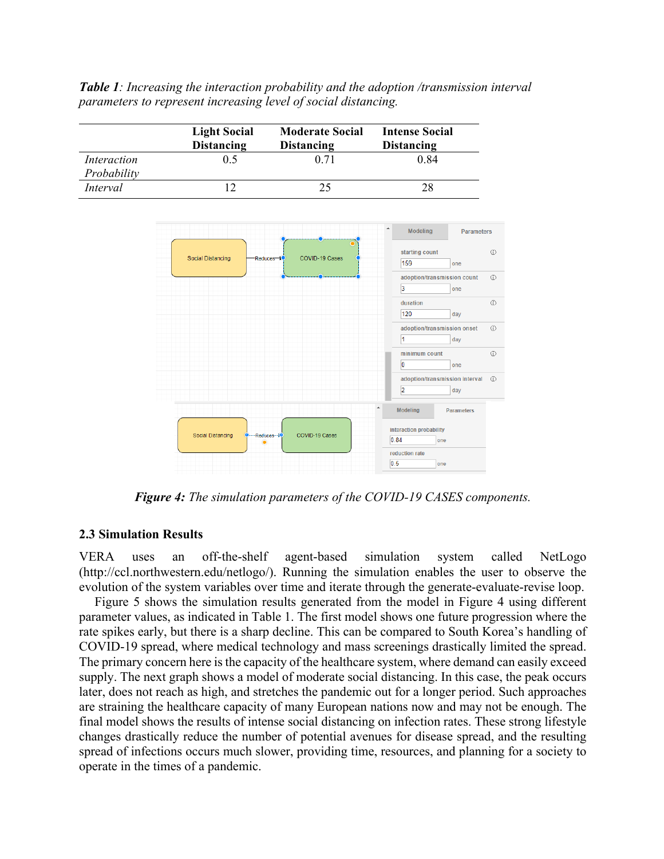*Table 1: Increasing the interaction probability and the adoption /transmission interval parameters to represent increasing level of social distancing.*



*Figure 4: The simulation parameters of the COVID-19 CASES components.*

### **2.3 Simulation Results**

VERA uses an off-the-shelf agent-based simulation system called NetLogo (http://ccl.northwestern.edu/netlogo/). Running the simulation enables the user to observe the evolution of the system variables over time and iterate through the generate-evaluate-revise loop.

Figure 5 shows the simulation results generated from the model in Figure 4 using different parameter values, as indicated in Table 1. The first model shows one future progression where the rate spikes early, but there is a sharp decline. This can be compared to South Korea's handling of COVID-19 spread, where medical technology and mass screenings drastically limited the spread. The primary concern here is the capacity of the healthcare system, where demand can easily exceed supply. The next graph shows a model of moderate social distancing. In this case, the peak occurs later, does not reach as high, and stretches the pandemic out for a longer period. Such approaches are straining the healthcare capacity of many European nations now and may not be enough. The final model shows the results of intense social distancing on infection rates. These strong lifestyle changes drastically reduce the number of potential avenues for disease spread, and the resulting spread of infections occurs much slower, providing time, resources, and planning for a society to operate in the times of a pandemic.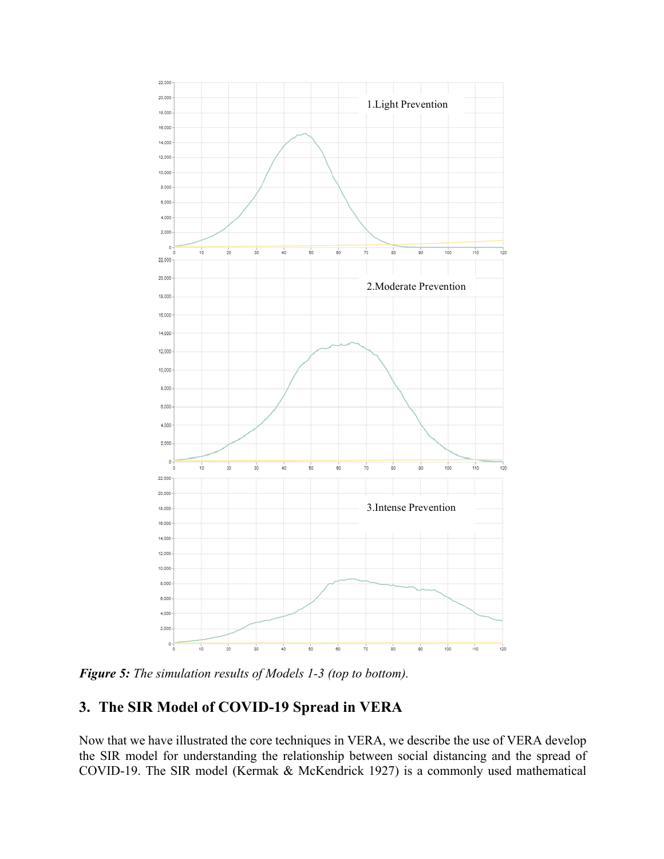

*Figure 5: The simulation results of Models 1-3 (top to bottom).*

# **3. The SIR Model of COVID-19 Spread in VERA**

Now that we have illustrated the core techniques in VERA, we describe the use of VERA develop the SIR model for understanding the relationship between social distancing and the spread of COVID-19. The SIR model (Kermak & McKendrick 1927) is a commonly used mathematical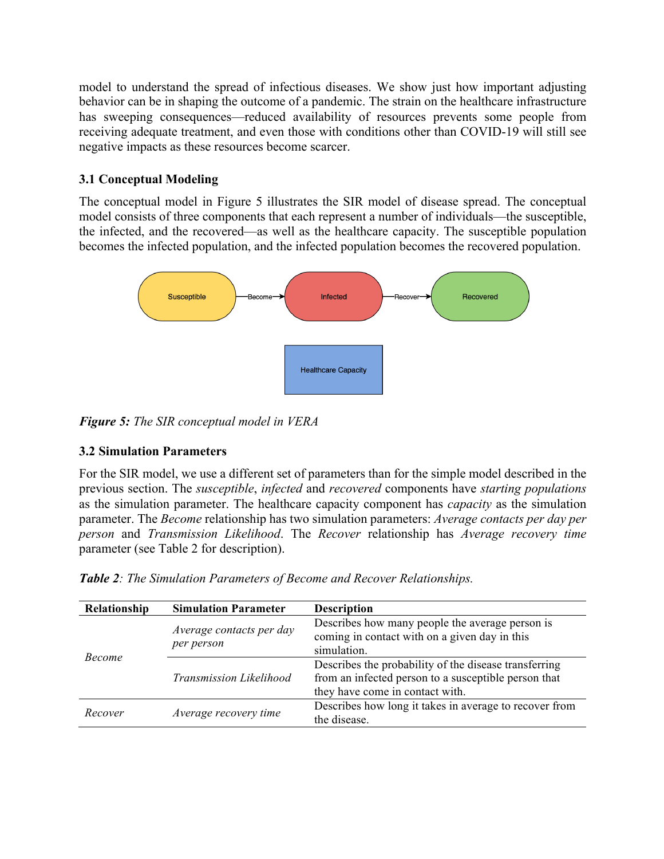model to understand the spread of infectious diseases. We show just how important adjusting behavior can be in shaping the outcome of a pandemic. The strain on the healthcare infrastructure has sweeping consequences—reduced availability of resources prevents some people from receiving adequate treatment, and even those with conditions other than COVID-19 will still see negative impacts as these resources become scarcer.

## **3.1 Conceptual Modeling**

The conceptual model in Figure 5 illustrates the SIR model of disease spread. The conceptual model consists of three components that each represent a number of individuals—the susceptible, the infected, and the recovered—as well as the healthcare capacity. The susceptible population becomes the infected population, and the infected population becomes the recovered population.



*Figure 5: The SIR conceptual model in VERA*

## **3.2 Simulation Parameters**

For the SIR model, we use a different set of parameters than for the simple model described in the previous section. The *susceptible*, *infected* and *recovered* components have *starting populations* as the simulation parameter. The healthcare capacity component has *capacity* as the simulation parameter. The *Become* relationship has two simulation parameters: *Average contacts per day per person* and *Transmission Likelihood*. The *Recover* relationship has *Average recovery time* parameter (see Table 2 for description).

| Table 2: The Simulation Parameters of Become and Recover Relationships. |  |  |  |  |  |  |
|-------------------------------------------------------------------------|--|--|--|--|--|--|
|-------------------------------------------------------------------------|--|--|--|--|--|--|

| Relationship  | <b>Simulation Parameter</b>    | <b>Description</b>                                     |
|---------------|--------------------------------|--------------------------------------------------------|
|               |                                | Describes how many people the average person is        |
|               | Average contacts per day       | coming in contact with on a given day in this          |
|               | per person                     | simulation.                                            |
| <i>Become</i> | <b>Transmission Likelihood</b> | Describes the probability of the disease transferring  |
|               |                                | from an infected person to a susceptible person that   |
|               |                                | they have come in contact with.                        |
| Recover       |                                | Describes how long it takes in average to recover from |
|               | Average recovery time          | the disease.                                           |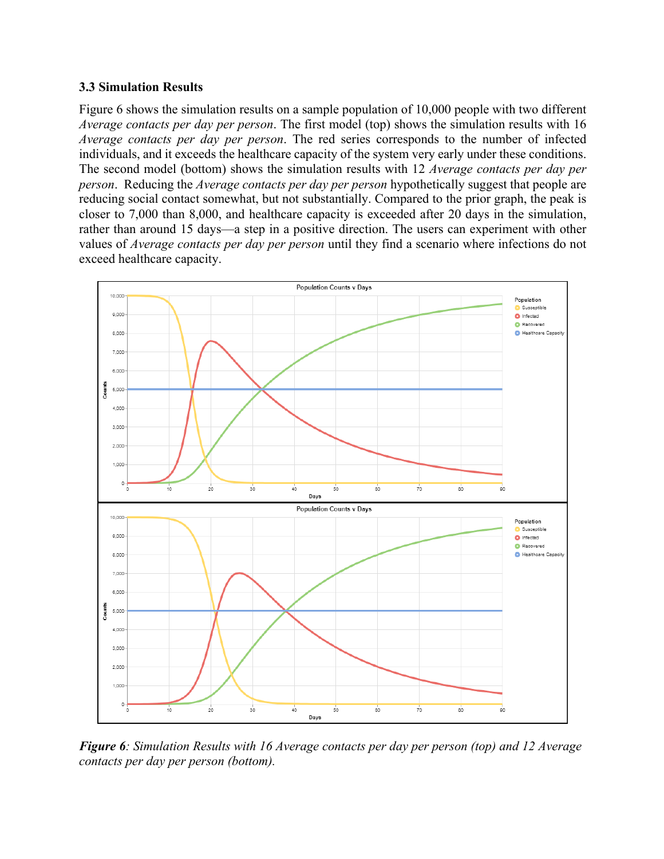#### **3.3 Simulation Results**

Figure 6 shows the simulation results on a sample population of 10,000 people with two different *Average contacts per day per person*. The first model (top) shows the simulation results with 16 *Average contacts per day per person*. The red series corresponds to the number of infected individuals, and it exceeds the healthcare capacity of the system very early under these conditions. The second model (bottom) shows the simulation results with 12 *Average contacts per day per person*. Reducing the *Average contacts per day per person* hypothetically suggest that people are reducing social contact somewhat, but not substantially. Compared to the prior graph, the peak is closer to 7,000 than 8,000, and healthcare capacity is exceeded after 20 days in the simulation, rather than around 15 days—a step in a positive direction. The users can experiment with other values of *Average contacts per day per person* until they find a scenario where infections do not exceed healthcare capacity.



*Figure 6: Simulation Results with 16 Average contacts per day per person (top) and 12 Average contacts per day per person (bottom).*